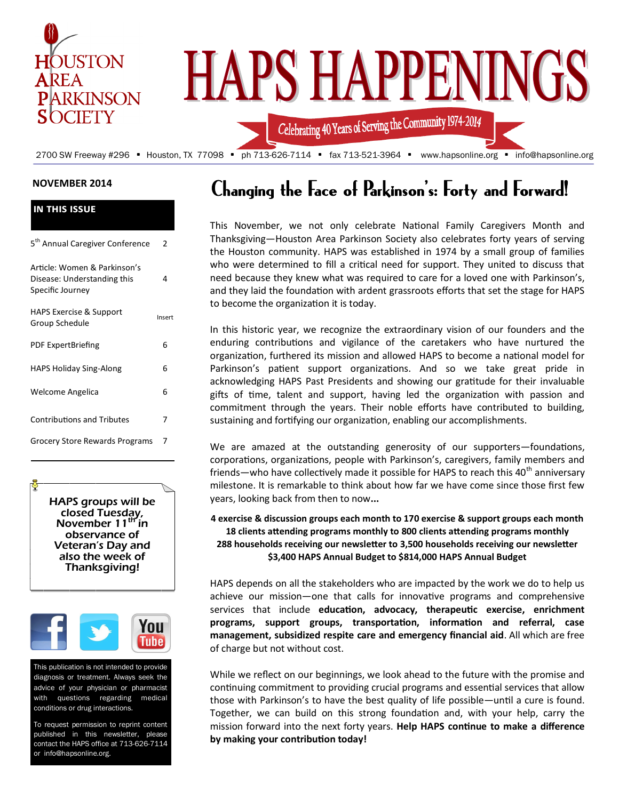

#### **NOVEMBER 2014**

| <b>IN THIS ISSUE</b>                                                            |        |
|---------------------------------------------------------------------------------|--------|
| 5 <sup>th</sup> Annual Caregiver Conference                                     | 2      |
| Article: Women & Parkinson's<br>Disease: Understanding this<br>Specific Journey | 4      |
| <b>HAPS Exercise &amp; Support</b><br>Group Schedule                            | Insert |
| <b>PDF ExpertBriefing</b>                                                       | 6      |
| <b>HAPS Holiday Sing-Along</b>                                                  | 6      |
| Welcome Angelica                                                                | 6      |
| <b>Contributions and Tributes</b>                                               | 7      |
| Grocery Store Rewards Programs                                                  | 7      |
|                                                                                 |        |

HAPS groups will be closed Tuesday, November  $11<sup>tr</sup>$  in observance of Veteran's Day and also the week of Thanksgiving!



This publication is not intended to provide diagnosis or treatment. Always seek the advice of your physician or pharmacist with questions regarding medical conditions or drug interactions.

To request permission to reprint content published in this newsletter, please contact the HAPS office at 713-626-7114 or info@hapsonline.org.

# Changing the Face of Parkinson's: Forty and Forward!

This November, we not only celebrate National Family Caregivers Month and Thanksgiving—Houston Area Parkinson Society also celebrates forty years of serving the Houston community. HAPS was established in 1974 by a small group of families who were determined to fill a critical need for support. They united to discuss that need because they knew what was required to care for a loved one with Parkinson's, and they laid the foundation with ardent grassroots efforts that set the stage for HAPS to become the organization it is today.

In this historic year, we recognize the extraordinary vision of our founders and the enduring contributions and vigilance of the caretakers who have nurtured the organization, furthered its mission and allowed HAPS to become a national model for Parkinson's patient support organizations. And so we take great pride in acknowledging HAPS Past Presidents and showing our gratitude for their invaluable gifts of time, talent and support, having led the organization with passion and commitment through the years. Their noble efforts have contributed to building, sustaining and fortifying our organization, enabling our accomplishments.

We are amazed at the outstanding generosity of our supporters—foundations, corporations, organizations, people with Parkinson's, caregivers, family members and friends—who have collectively made it possible for HAPS to reach this  $40<sup>th</sup>$  anniversary milestone. It is remarkable to think about how far we have come since those first few years, looking back from then to now**...** 

#### **4 exercise & discussion groups each month to 170 exercise & support groups each month 18 clients attending programs monthly to 800 clients attending programs monthly 288 households receiving our newsletter to 3,500 households receiving our newsletter \$3,400 HAPS Annual Budget to \$814,000 HAPS Annual Budget**

HAPS depends on all the stakeholders who are impacted by the work we do to help us achieve our mission—one that calls for innovative programs and comprehensive services that include **education, advocacy, therapeutic exercise, enrichment programs, support groups, transportation, information and referral, case management, subsidized respite care and emergency financial aid**. All which are free of charge but not without cost.

While we reflect on our beginnings, we look ahead to the future with the promise and continuing commitment to providing crucial programs and essential services that allow those with Parkinson's to have the best quality of life possible—until a cure is found. Together, we can build on this strong foundation and, with your help, carry the mission forward into the next forty years. **Help HAPS continue to make a difference by making your contribution today!**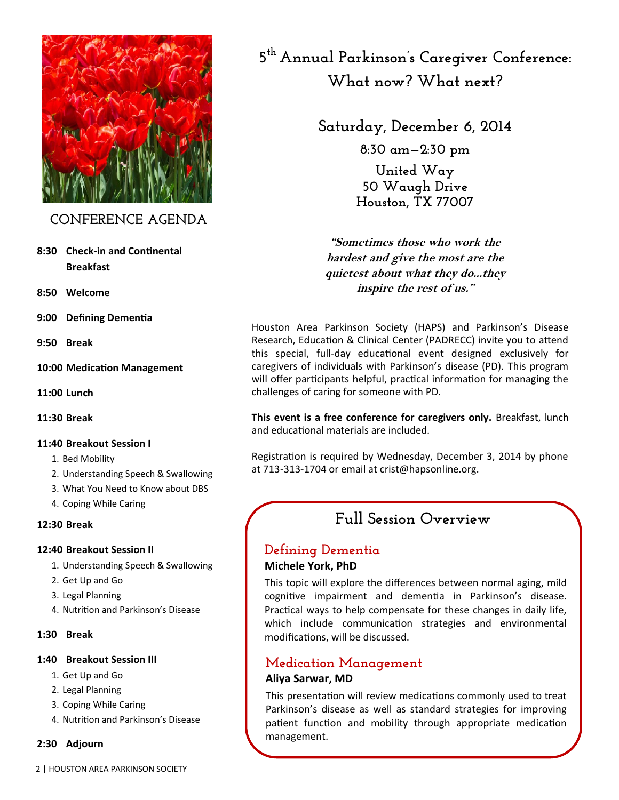

### **CONFERENCE AGENDA**

- **8:30 Check-in and Continental Breakfast**
- **8:50 Welcome**
- **9:00 Defining Dementia**
- **9:50 Break**
- **10:00 Medication Management**
- **11:00 Lunch**
- **11:30 Break**

#### **11:40 Breakout Session I**

- 1. Bed Mobility
- 2. Understanding Speech & Swallowing
- 3. What You Need to Know about DBS
- 4. Coping While Caring

#### **12:30 Break**

#### **12:40 Breakout Session II**

- 1. Understanding Speech & Swallowing
- 2. Get Up and Go
- 3. Legal Planning
- 4. Nutrition and Parkinson's Disease
- **1:30 Break**

#### **1:40 Breakout Session III**

- 1. Get Up and Go
- 2. Legal Planning
- 3. Coping While Caring
- 4. Nutrition and Parkinson's Disease

#### **2:30 Adjourn**

**5 th Annual Parkinson's Caregiver Conference: What now? What next?**

# **Saturday, December 6, 2014**

**8:30 am—2:30 pm**

**United Way 50 Waugh Drive Houston, TX 77007**

**"Sometimes those who work the hardest and give the most are the quietest about what they do...they inspire the rest of us."**

Houston Area Parkinson Society (HAPS) and Parkinson's Disease Research, Education & Clinical Center (PADRECC) invite you to attend this special, full-day educational event designed exclusively for caregivers of individuals with Parkinson's disease (PD). This program will offer participants helpful, practical information for managing the challenges of caring for someone with PD.

**This event is a free conference for caregivers only.** Breakfast, lunch and educational materials are included.

Registration is required by Wednesday, December 3, 2014 by phone at 713-313-1704 or email at crist@hapsonline.org.

# **Full Session Overview**

#### **Defining Dementia Michele York, PhD**

This topic will explore the differences between normal aging, mild cognitive impairment and dementia in Parkinson's disease. Practical ways to help compensate for these changes in daily life, which include communication strategies and environmental modifications, will be discussed.

# **Medication Management**

#### **Aliya Sarwar, MD**

This presentation will review medications commonly used to treat Parkinson's disease as well as standard strategies for improving patient function and mobility through appropriate medication management.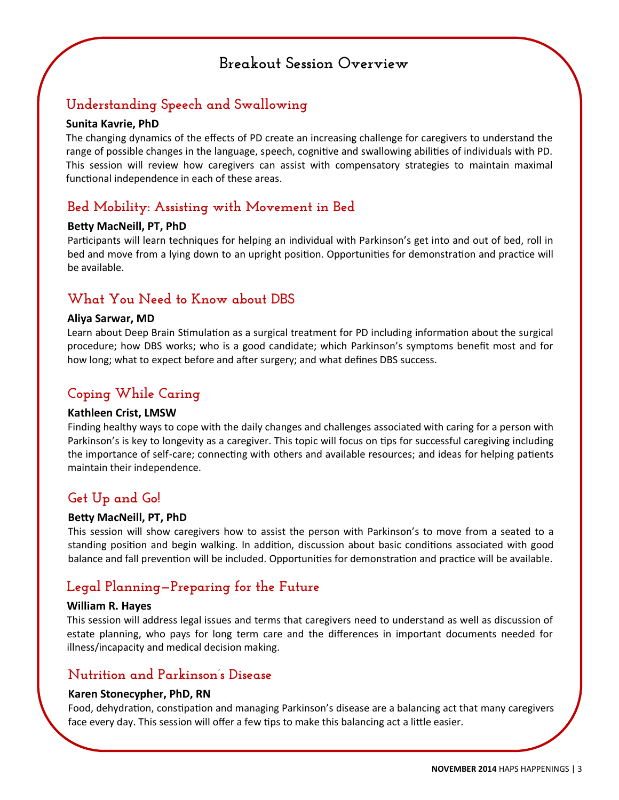# **Breakout Session Overview**

# **Understanding Speech and Swallowing**

#### **Sunita Kavrie, PhD**

The changing dynamics of the effects of PD create an increasing challenge for caregivers to understand the range of possible changes in the language, speech, cognitive and swallowing abilities of individuals with PD. This session will review how caregivers can assist with compensatory strategies to maintain maximal functional independence in each of these areas.

# **Bed Mobility: Assisting with Movement in Bed**

#### **Betty MacNeill, PT, PhD**

Participants will learn techniques for helping an individual with Parkinson's get into and out of bed, roll in bed and move from a lying down to an upright position. Opportunities for demonstration and practice will be available.

## **What You Need to Know about DBS**

#### **Aliya Sarwar, MD**

Learn about Deep Brain Stimulation as a surgical treatment for PD including information about the surgical procedure; how DBS works; who is a good candidate; which Parkinson's symptoms benefit most and for how long; what to expect before and after surgery; and what defines DBS success.

## **Coping While Caring**

#### **Kathleen Crist, LMSW**

Finding healthy ways to cope with the daily changes and challenges associated with caring for a person with Parkinson's is key to longevity as a caregiver. This topic will focus on tips for successful caregiving including the importance of self-care; connecting with others and available resources; and ideas for helping patients maintain their independence.

## **Get Up and Go!**

#### **Betty MacNeill, PT, PhD**

This session will show caregivers how to assist the person with Parkinson's to move from a seated to a standing position and begin walking. In addition, discussion about basic conditions associated with good balance and fall prevention will be included. Opportunities for demonstration and practice will be available.

## **Legal Planning—Preparing for the Future**

#### **William R. Hayes**

This session will address legal issues and terms that caregivers need to understand as well as discussion of estate planning, who pays for long term care and the differences in important documents needed for illness/incapacity and medical decision making.

### **Nutrition and Parkinson's Disease**

#### **Karen Stonecypher, PhD, RN**

Food, dehydration, constipation and managing Parkinson's disease are a balancing act that many caregivers face every day. This session will offer a few tips to make this balancing act a little easier.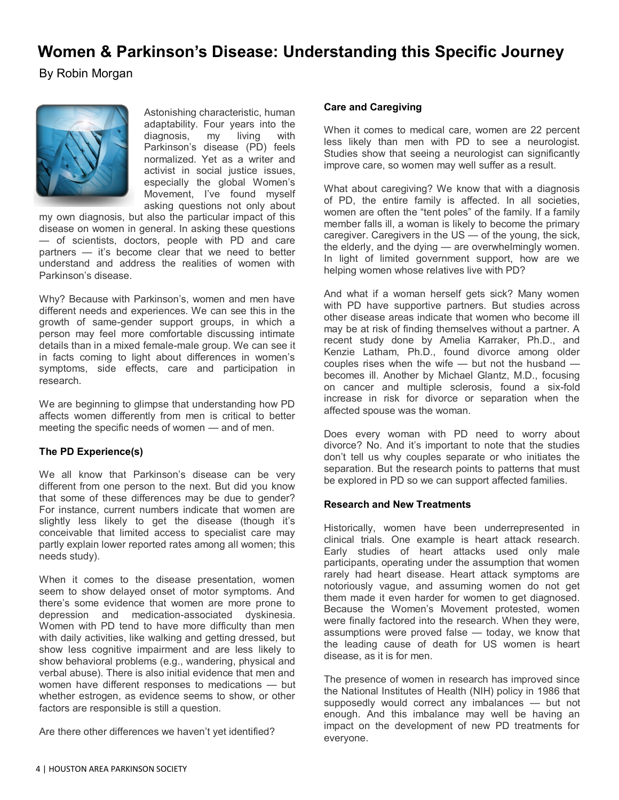# **Women & Parkinson's Disease: Understanding this Specific Journey**

By Robin Morgan



Astonishing characteristic, human adaptability. Four years into the diagnosis, my living with Parkinson's disease (PD) feels normalized. Yet as a writer and activist in social justice issues, especially the global Women's Movement, I've found myself asking questions not only about

my own diagnosis, but also the particular impact of this disease on women in general. In asking these questions — of scientists, doctors, people with PD and care partners — it's become clear that we need to better understand and address the realities of women with Parkinson's disease.

Why? Because with Parkinson's, women and men have different needs and experiences. We can see this in the growth of same-gender support groups, in which a person may feel more comfortable discussing intimate details than in a mixed female-male group. We can see it in facts coming to light about differences in women's symptoms, side effects, care and participation in research.

We are beginning to glimpse that understanding how PD affects women differently from men is critical to better meeting the specific needs of women — and of men.

#### **The PD Experience(s)**

We all know that Parkinson's disease can be very different from one person to the next. But did you know that some of these differences may be due to gender? For instance, current numbers indicate that women are slightly less likely to get the disease (though it's conceivable that limited access to specialist care may partly explain lower reported rates among all women; this needs study).

When it comes to the disease presentation, women seem to show delayed onset of motor symptoms. And there's some evidence that women are more prone to depression and medication-associated dyskinesia. Women with PD tend to have more difficulty than men with daily activities, like walking and getting dressed, but show less cognitive impairment and are less likely to show behavioral problems (e.g., wandering, physical and verbal abuse). There is also initial evidence that men and women have different responses to medications — but whether estrogen, as evidence seems to show, or other factors are responsible is still a question.

Are there other differences we haven't yet identified?

#### **Care and Caregiving**

When it comes to medical care, women are 22 percent less likely than men with PD to see a neurologist. Studies show that seeing a neurologist can significantly improve care, so women may well suffer as a result.

What about caregiving? We know that with a diagnosis of PD, the entire family is affected. In all societies, women are often the "tent poles" of the family. If a family member falls ill, a woman is likely to become the primary caregiver. Caregivers in the US — of the young, the sick, the elderly, and the dying — are overwhelmingly women. In light of limited government support, how are we helping women whose relatives live with PD?

And what if a woman herself gets sick? Many women with PD have supportive partners. But studies across other disease areas indicate that women who become ill may be at risk of finding themselves without a partner. A recent study done by Amelia Karraker, Ph.D., and Kenzie Latham, Ph.D., found divorce among older couples rises when the wife — but not the husband becomes ill. Another by Michael Glantz, M.D., focusing on cancer and multiple sclerosis, found a six-fold increase in risk for divorce or separation when the affected spouse was the woman.

Does every woman with PD need to worry about divorce? No. And it's important to note that the studies don't tell us why couples separate or who initiates the separation. But the research points to patterns that must be explored in PD so we can support affected families.

#### **Research and New Treatments**

Historically, women have been underrepresented in clinical trials. One example is heart attack research. Early studies of heart attacks used only male participants, operating under the assumption that women rarely had heart disease. Heart attack symptoms are notoriously vague, and assuming women do not get them made it even harder for women to get diagnosed. Because the Women's Movement protested, women were finally factored into the research. When they were, assumptions were proved false — today, we know that the leading cause of death for US women is heart disease, as it is for men.

The presence of women in research has improved since the National Institutes of Health (NIH) policy in 1986 that supposedly would correct any imbalances — but not enough. And this imbalance may well be having an impact on the development of new PD treatments for everyone.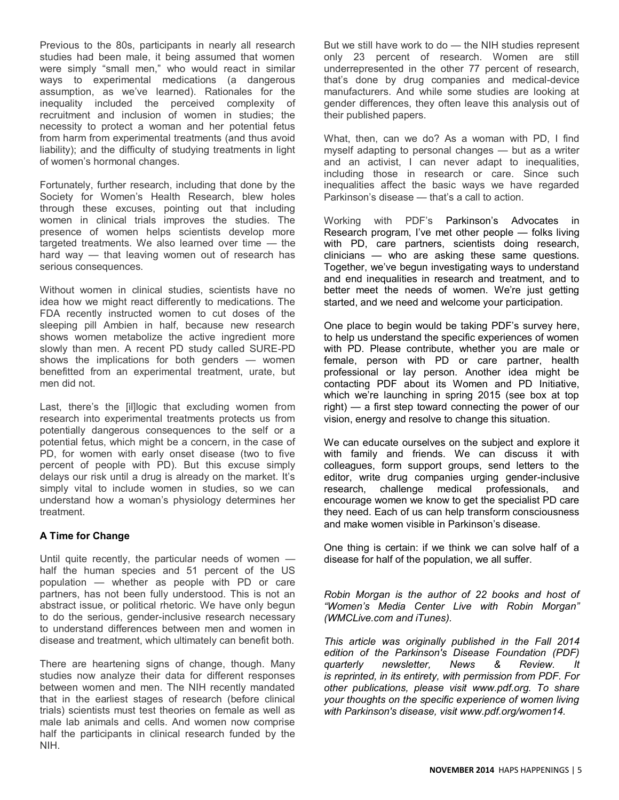Previous to the 80s, participants in nearly all research studies had been male, it being assumed that women were simply "small men," who would react in similar ways to experimental medications (a dangerous assumption, as we've learned). Rationales for the inequality included the perceived complexity of recruitment and inclusion of women in studies; the necessity to protect a woman and her potential fetus from harm from experimental treatments (and thus avoid liability); and the difficulty of studying treatments in light of women's hormonal changes.

Fortunately, further research, including that done by the Society for Women's Health Research, blew holes through these excuses, pointing out that including women in clinical trials improves the studies. The presence of women helps scientists develop more targeted treatments. We also learned over time — the hard way — that leaving women out of research has serious consequences.

Without women in clinical studies, scientists have no idea how we might react differently to medications. The FDA recently instructed women to cut doses of the sleeping pill Ambien in half, because new research shows women metabolize the active ingredient more slowly than men. A recent PD study called SURE-PD shows the implications for both genders — women benefitted from an experimental treatment, urate, but men did not.

Last, there's the [il]logic that excluding women from research into experimental treatments protects us from potentially dangerous consequences to the self or a potential fetus, which might be a concern, in the case of PD, for women with early onset disease (two to five percent of people with PD). But this excuse simply delays our risk until a drug is already on the market. It's simply vital to include women in studies, so we can understand how a woman's physiology determines her treatment.

#### **A Time for Change**

Until quite recently, the particular needs of women half the human species and 51 percent of the US population — whether as people with PD or care partners, has not been fully understood. This is not an abstract issue, or political rhetoric. We have only begun to do the serious, gender-inclusive research necessary to understand differences between men and women in disease and treatment, which ultimately can benefit both.

There are heartening signs of change, though. Many studies now analyze their data for different responses between women and men. The NIH recently mandated that in the earliest stages of research (before clinical trials) scientists must test theories on female as well as male lab animals and cells. And women now comprise half the participants in clinical research funded by the NIH.

But we still have work to do — the NIH studies represent only 23 percent of research. Women are still underrepresented in the other 77 percent of research, that's done by drug companies and medical-device manufacturers. And while some studies are looking at gender differences, they often leave this analysis out of their published papers.

What, then, can we do? As a woman with PD, I find myself adapting to personal changes — but as a writer and an activist, I can never adapt to inequalities, including those in research or care. Since such inequalities affect the basic ways we have regarded Parkinson's disease — that's a call to action.

Working with PDF's [Parkinson's Advocates in](http://www.pdf.org/pair)  [Research](http://www.pdf.org/pair) program, I've met other people — folks living with PD, care partners, scientists doing research, clinicians — who are asking these same questions. Together, we've begun investigating ways to understand and end inequalities in research and treatment, and to better meet the needs of women. We're just getting started, and we need and welcome your participation.

One place to begin would be taking [PDF's survey here,](http://www.pdf.org/women14) to help us understand the specific experiences of women with PD. Please contribute, whether you are male or female, person with PD or care partner, health professional or lay person. Another idea might be contacting PDF about its Women and PD Initiative, which we're launching in spring 2015 (see box at top right) — a first step toward connecting the power of our vision, energy and resolve to change this situation.

We can educate ourselves on the subject and explore it with family and friends. We can discuss it with colleagues, form support groups, send letters to the editor, write drug companies urging gender-inclusive research, challenge medical professionals, and encourage women we know to get the specialist PD care they need. Each of us can help transform consciousness and make women visible in Parkinson's disease.

One thing is certain: if we think we can solve half of a disease for half of the population, we all suffer.

*Robin Morgan is the author of 22 books and host of "Women's Media Center Live with Robin Morgan" ([WMCLive.com](http://www.wmclive.com/) and [iTunes\).](http://itunes/)*

*This article was originally published in the Fall 2014 edition of the Parkinson's Disease Foundation (PDF) quarterly newsletter, News & Review. It is reprinted, in its entirety, with permission from PDF. For other publications, please visit www.pdf.org. To share your thoughts on the specific experience of women living with Parkinson's disease, visit www.pdf.org/women14.*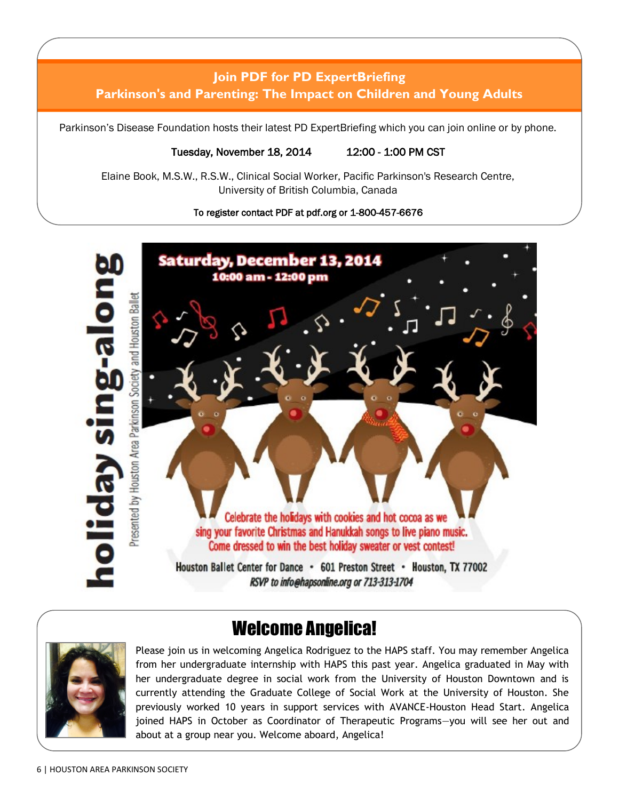# **Join PDF for PD ExpertBriefing Parkinson's and Parenting: The Impact on Children and Young Adults**

Parkinson's Disease Foundation hosts their latest PD ExpertBriefing which you can join online or by phone.

#### Tuesday, November 18, 2014 12:00 - 1:00 PM CST

Elaine Book, M.S.W., R.S.W., Clinical Social Worker, Pacific Parkinson's Research Centre, University of British Columbia, Canada

#### To register contact PDF at pdf.org or 1-800-457-6676



# Welcome Angelica!



Please join us in welcoming Angelica Rodriguez to the HAPS staff. You may remember Angelica from her undergraduate internship with HAPS this past year. Angelica graduated in May with her undergraduate degree in social work from the University of Houston Downtown and is currently attending the Graduate College of Social Work at the University of Houston. She previously worked 10 years in support services with AVANCE-Houston Head Start. Angelica joined HAPS in October as Coordinator of Therapeutic Programs—you will see her out and about at a group near you. Welcome aboard, Angelica!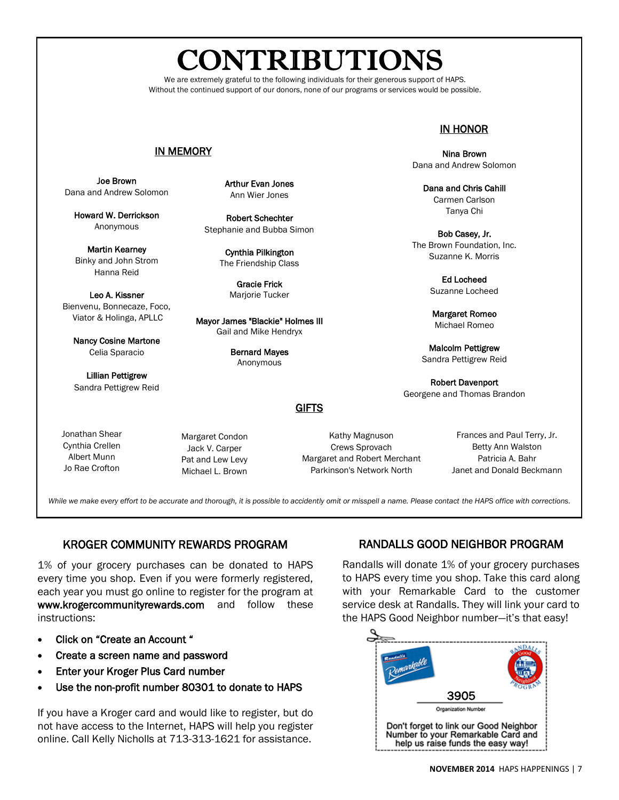# **CONTRIBUTIONS**

We are extremely grateful to the following individuals for their generous support of HAPS. Without the continued support of our donors, none of our programs or services would be possible.

#### IN MEMORY

Joe Brown Dana and Andrew Solomon

Howard W. Derrickson Anonymous

Martin Kearney Binky and John Strom Hanna Reid

Leo A. Kissner Bienvenu, Bonnecaze, Foco, Viator & Holinga, APLLC

Nancy Cosine Martone Celia Sparacio

Lillian Pettigrew Sandra Pettigrew Reid

Jonathan Shear Cynthia Crellen Albert Munn Jo Rae Crofton

Arthur Evan Jones Ann Wier Jones

Robert Schechter Stephanie and Bubba Simon

> Cynthia Pilkington The Friendship Class

> > Gracie Frick Marjorie Tucker

Mayor James "Blackie" Holmes III Gail and Mike Hendryx

> Bernard Mayes Anonymous

#### IN HONOR

Nina Brown Dana and Andrew Solomon

Dana and Chris Cahill Carmen Carlson Tanya Chi

Bob Casey, Jr. The Brown Foundation, Inc. Suzanne K. Morris

> Ed Locheed Suzanne Locheed

Margaret Romeo Michael Romeo

Malcolm Pettigrew Sandra Pettigrew Reid

Robert Davenport Georgene and Thomas Brandon

**GIFTS** 

Kathy Magnuson Crews Sprovach Margaret and Robert Merchant Parkinson's Network North

Frances and Paul Terry, Jr. Betty Ann Walston Patricia A. Bahr Janet and Donald Beckmann

*While we make every effort to be accurate and thorough, it is possible to accidently omit or misspell a name. Please contact the HAPS office with corrections.* 

#### KROGER COMMUNITY REWARDS PROGRAM

Margaret Condon Jack V. Carper Pat and Lew Levy Michael L. Brown

1% of your grocery purchases can be donated to HAPS every time you shop. Even if you were formerly registered, each year you must go online to register for the program at www.krogercommunityrewards.com and follow these instructions:

- Click on "Create an Account "
- Create a screen name and password
- Enter your Kroger Plus Card number
- Use the non-profit number 80301 to donate to HAPS

If you have a Kroger card and would like to register, but do not have access to the Internet, HAPS will help you register online. Call Kelly Nicholls at 713-313-1621 for assistance.

#### RANDALLS GOOD NEIGHBOR PROGRAM

Randalls will donate 1% of your grocery purchases to HAPS every time you shop. Take this card along with your Remarkable Card to the customer service desk at Randalls. They will link your card to the HAPS Good Neighbor number—it's that easy!